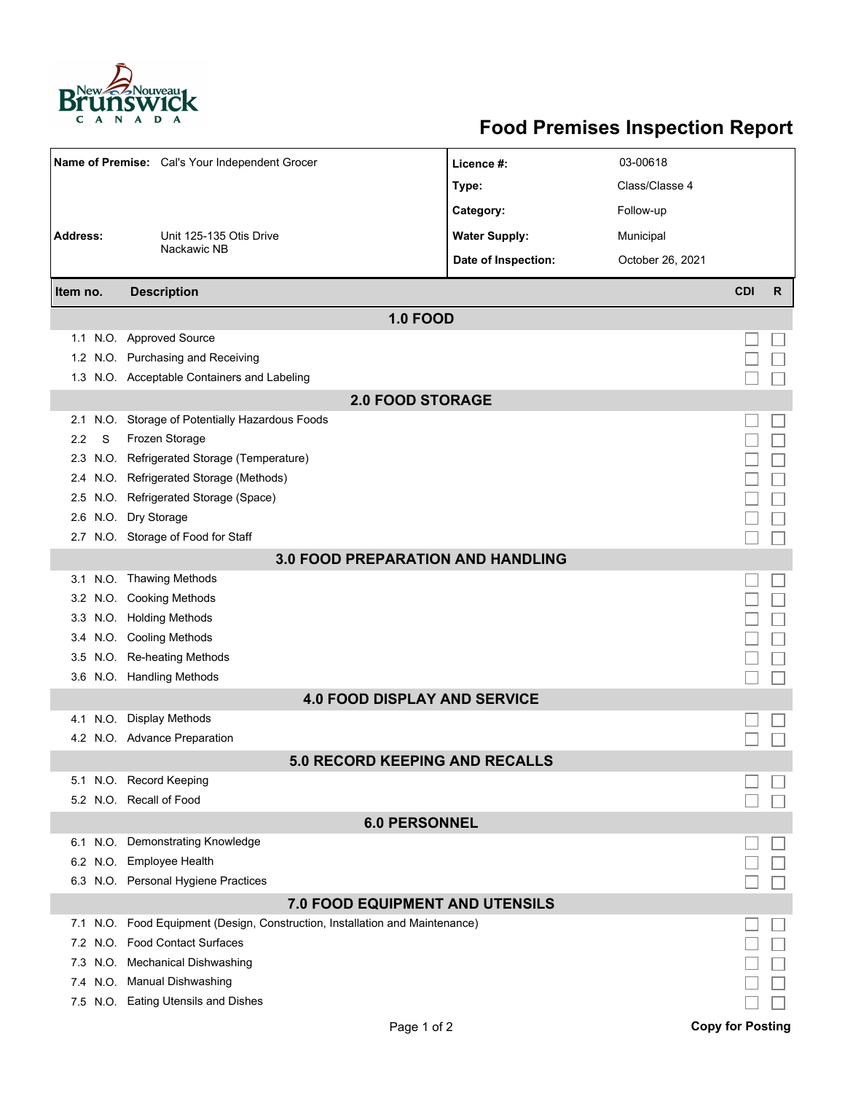

## **Food Premises Inspection Report**

| Name of Premise: Cal's Your Independent Grocer |                                                                              | Licence #:           | 03-00618         |            |              |  |  |  |  |
|------------------------------------------------|------------------------------------------------------------------------------|----------------------|------------------|------------|--------------|--|--|--|--|
|                                                |                                                                              | Type:                | Class/Classe 4   |            |              |  |  |  |  |
|                                                |                                                                              | Category:            | Follow-up        |            |              |  |  |  |  |
| <b>Address:</b>                                | Unit 125-135 Otis Drive                                                      | <b>Water Supply:</b> | Municipal        |            |              |  |  |  |  |
|                                                | Nackawic NB                                                                  | Date of Inspection:  | October 26, 2021 |            |              |  |  |  |  |
| Item no.                                       | <b>Description</b>                                                           |                      |                  | <b>CDI</b> | $\mathsf{R}$ |  |  |  |  |
|                                                |                                                                              |                      |                  |            |              |  |  |  |  |
|                                                | <b>1.0 FOOD</b><br>1.1 N.O. Approved Source                                  |                      |                  |            |              |  |  |  |  |
| 1.2                                            | N.O. Purchasing and Receiving                                                |                      |                  |            |              |  |  |  |  |
|                                                | 1.3 N.O. Acceptable Containers and Labeling                                  |                      |                  |            |              |  |  |  |  |
|                                                | <b>2.0 FOOD STORAGE</b>                                                      |                      |                  |            |              |  |  |  |  |
| 2.1                                            | N.O. Storage of Potentially Hazardous Foods                                  |                      |                  |            |              |  |  |  |  |
| S<br>2.2                                       | Frozen Storage                                                               |                      |                  |            |              |  |  |  |  |
| 2.3                                            | N.O. Refrigerated Storage (Temperature)                                      |                      |                  |            |              |  |  |  |  |
| 2.4                                            | N.O. Refrigerated Storage (Methods)                                          |                      |                  |            |              |  |  |  |  |
| 2.5                                            | N.O. Refrigerated Storage (Space)                                            |                      |                  |            |              |  |  |  |  |
| 2.6                                            | N.O. Dry Storage                                                             |                      |                  |            |              |  |  |  |  |
|                                                | 2.7 N.O. Storage of Food for Staff                                           |                      |                  |            |              |  |  |  |  |
| <b>3.0 FOOD PREPARATION AND HANDLING</b>       |                                                                              |                      |                  |            |              |  |  |  |  |
|                                                | 3.1 N.O. Thawing Methods                                                     |                      |                  |            |              |  |  |  |  |
|                                                | 3.2 N.O. Cooking Methods                                                     |                      |                  |            |              |  |  |  |  |
|                                                | 3.3 N.O. Holding Methods                                                     |                      |                  |            |              |  |  |  |  |
| 3.4                                            | N.O. Cooling Methods                                                         |                      |                  |            |              |  |  |  |  |
| 3.5                                            | N.O. Re-heating Methods                                                      |                      |                  |            |              |  |  |  |  |
|                                                | 3.6 N.O. Handling Methods                                                    |                      |                  |            |              |  |  |  |  |
| <b>4.0 FOOD DISPLAY AND SERVICE</b>            |                                                                              |                      |                  |            |              |  |  |  |  |
|                                                | 4.1 N.O. Display Methods                                                     |                      |                  |            |              |  |  |  |  |
|                                                | 4.2 N.O. Advance Preparation                                                 |                      |                  |            |              |  |  |  |  |
|                                                | 5.0 RECORD KEEPING AND RECALLS                                               |                      |                  |            |              |  |  |  |  |
|                                                | 5.1 N.O. Record Keeping                                                      |                      |                  |            |              |  |  |  |  |
|                                                | 5.2 N.O. Recall of Food                                                      |                      |                  |            |              |  |  |  |  |
| <b>6.0 PERSONNEL</b>                           |                                                                              |                      |                  |            |              |  |  |  |  |
|                                                | 6.1 N.O. Demonstrating Knowledge                                             |                      |                  |            |              |  |  |  |  |
|                                                | 6.2 N.O. Employee Health                                                     |                      |                  |            |              |  |  |  |  |
|                                                | 6.3 N.O. Personal Hygiene Practices                                          |                      |                  |            |              |  |  |  |  |
|                                                | 7.0 FOOD EQUIPMENT AND UTENSILS                                              |                      |                  |            |              |  |  |  |  |
|                                                | 7.1 N.O. Food Equipment (Design, Construction, Installation and Maintenance) |                      |                  |            |              |  |  |  |  |
|                                                | 7.2 N.O. Food Contact Surfaces                                               |                      |                  |            |              |  |  |  |  |
| 7.3                                            | N.O. Mechanical Dishwashing                                                  |                      |                  |            |              |  |  |  |  |
|                                                | 7.4 N.O. Manual Dishwashing                                                  |                      |                  |            |              |  |  |  |  |
|                                                | 7.5 N.O. Eating Utensils and Dishes                                          |                      |                  |            |              |  |  |  |  |